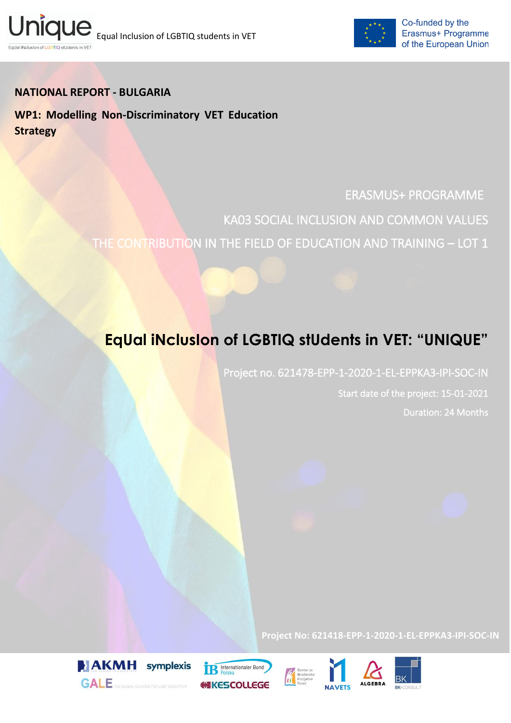



## **NATIONAL REPORT - BULGARIA**

**WP1: Modelling Non-Discriminatory VET Education Strategy**

## ERASMUS+ PROGRAMME

KA03 SOCIAL INCLUSION AND COMMON VALUES THE CONTRIBUTION IN THE FIELD OF EDUCATION AND TRAINING – LOT 1

# **EqUal iNclusIon of LGBTIQ stUdents in VET: "UNIQUE"**

Project no. 621478-EPP-1-2020-1-EL-EPPKA3-IPI-SOC-IN

Start date of the project: 15-01-2021 Duration: 24 Months

**Project No: 621418-EPP-1-2020-1-EL-EPPKA3-IPI-SOC-IN**









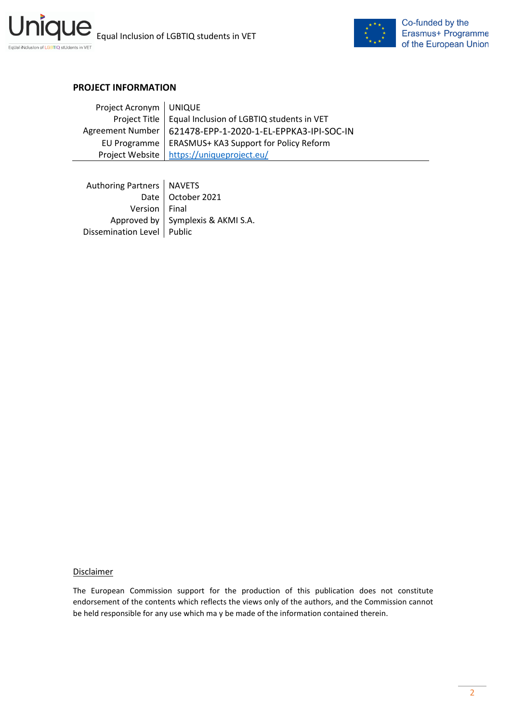



#### **PROJECT INFORMATION**

| Project Acronym   UNIQUE |                                                             |
|--------------------------|-------------------------------------------------------------|
|                          | Project Title   Equal Inclusion of LGBTIQ students in VET   |
|                          | Agreement Number   621478-EPP-1-2020-1-EL-EPPKA3-IPI-SOC-IN |
|                          | EU Programme   ERASMUS+ KA3 Support for Policy Reform       |
|                          | Project Website   https://uniqueproject.eu/                 |

Authoring Partners | NAVETS Date | October 2021 Version Final Approved by  $\vert$  Symplexis & AKMI S.A. Dissemination Level | Public

#### **Disclaimer**

The European Commission support for the production of this publication does not constitute endorsement of the contents which reflects the views only of the authors, and the Commission cannot be held responsible for any use which ma y be made of the information contained therein.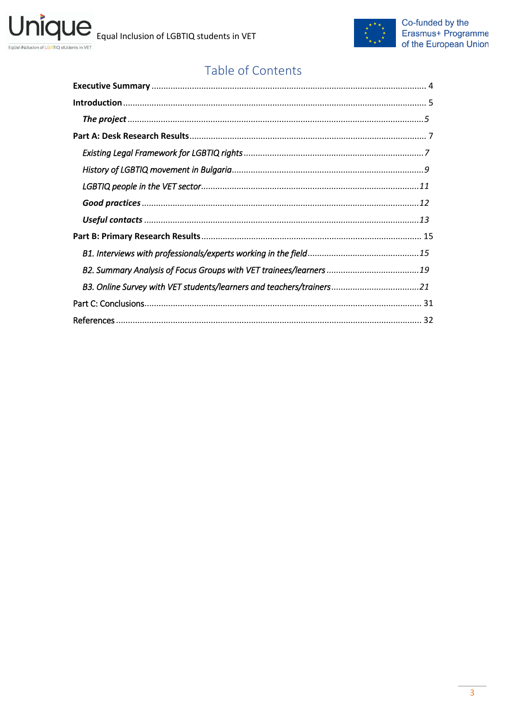

# Table of Contents

| B3. Online Survey with VET students/learners and teachers/trainers21 |  |
|----------------------------------------------------------------------|--|
|                                                                      |  |
|                                                                      |  |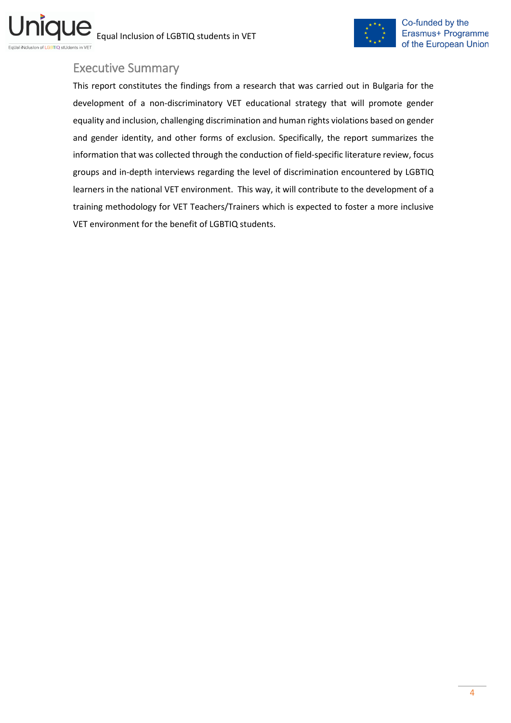

## <span id="page-3-0"></span>Executive Summary

This report constitutes the findings from a research that was carried out in Bulgaria for the development of a non-discriminatory VET educational strategy that will promote gender equality and inclusion, challenging discrimination and human rights violations based on gender and gender identity, and other forms of exclusion. Specifically, the report summarizes the information that was collected through the conduction of field-specific literature review, focus groups and in-depth interviews regarding the level of discrimination encountered by LGBTIQ learners in the national VET environment. This way, it will contribute to the development of a training methodology for VET Teachers/Trainers which is expected to foster a more inclusive VET environment for the benefit of LGBTIQ students.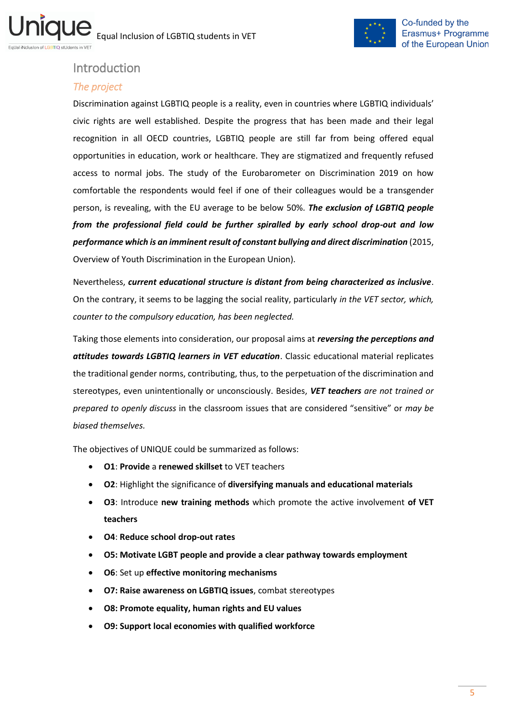

## <span id="page-4-0"></span>Introduction

#### <span id="page-4-1"></span>*The project*

Discrimination against LGBTIQ people is a reality, even in countries where LGBTIQ individuals' civic rights are well established. Despite the progress that has been made and their legal recognition in all OECD countries, LGBTIQ people are still far from being offered equal opportunities in education, work or healthcare. They are stigmatized and frequently refused access to normal jobs. The study of the Eurobarometer on Discrimination 2019 on how comfortable the respondents would feel if one of their colleagues would be a transgender person, is revealing, with the EU average to be below 50%. *The exclusion of LGBTIQ people from the professional field could be further spiralled by early school drop-out and low performance which is an imminent result of constant bullying and direct discrimination* (2015, Overview of Youth Discrimination in the European Union).

Nevertheless, *current educational structure is distant from being characterized as inclusive*. On the contrary, it seems to be lagging the social reality, particularly *in the VET sector, which, counter to the compulsory education, has been neglected.* 

Taking those elements into consideration, our proposal aims at *reversing the perceptions and attitudes towards LGBTIQ learners in VET education*. Classic educational material replicates the traditional gender norms, contributing, thus, to the perpetuation of the discrimination and stereotypes, even unintentionally or unconsciously. Besides, *VET teachers are not trained or prepared to openly discuss* in the classroom issues that are considered "sensitive" or *may be biased themselves.* 

The objectives of UNIQUE could be summarized as follows:

- **O1**: **Provide** a **renewed skillset** to VET teachers
- **O2**: Highlight the significance of **diversifying manuals and educational materials**
- **O3**: Introduce **new training methods** which promote the active involvement **of VET teachers**
- **O4**: **Reduce school drop-out rates**
- **O5: Motivate LGBT people and provide a clear pathway towards employment**
- **O6**: Set up **effective monitoring mechanisms**
- **O7: Raise awareness on LGBTIQ issues**, combat stereotypes
- **O8: Promote equality, human rights and EU values**
- **O9: Support local economies with qualified workforce**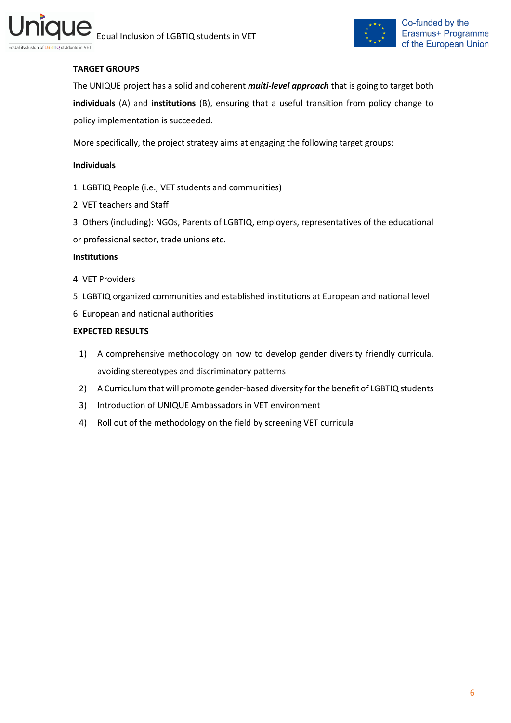



#### **TARGET GROUPS**

The UNIQUE project has a solid and coherent *multi-level approach* that is going to target both **individuals** (A) and **institutions** (B), ensuring that a useful transition from policy change to policy implementation is succeeded.

More specifically, the project strategy aims at engaging the following target groups:

#### **Individuals**

- 1. LGBTIQ People (i.e., VET students and communities)
- 2. VET teachers and Staff
- 3. Others (including): NGOs, Parents of LGBTIQ, employers, representatives of the educational
- or professional sector, trade unions etc.

#### **Institutions**

- 4. VET Providers
- 5. LGBTIQ organized communities and established institutions at European and national level
- 6. European and national authorities

#### **EXPECTED RESULTS**

- 1) A comprehensive methodology on how to develop gender diversity friendly curricula, avoiding stereotypes and discriminatory patterns
- 2) A Curriculum that will promote gender-based diversity for the benefit of LGBTIQ students
- 3) Introduction of UNIQUE Ambassadors in VET environment
- 4) Roll out of the methodology on the field by screening VET curricula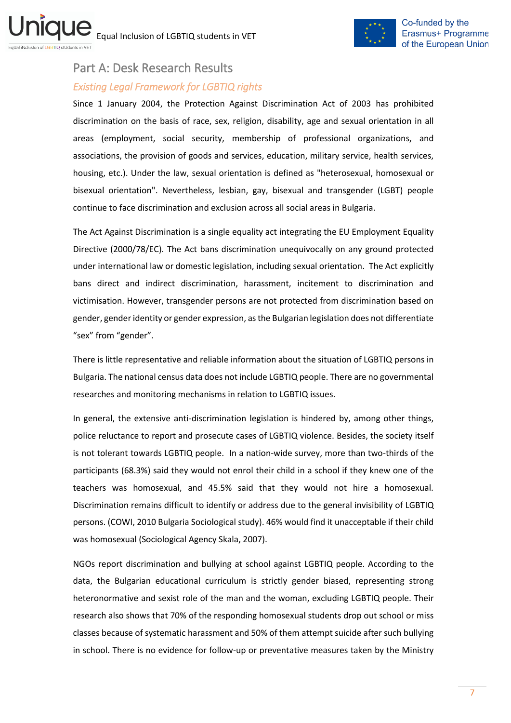

# <span id="page-6-0"></span>Part А: Desk Research Results

## <span id="page-6-1"></span>*Existing Legal Framework for LGBTIQ rights*

Since 1 January 2004, the Protection Against Discrimination Act of 2003 has prohibited discrimination on the basis of race, sex, religion, disability, age and sexual orientation in all areas (employment, social security, membership of professional organizations, and associations, the provision of goods and services, education, military service, health services, housing, etc.). Under the law, sexual orientation is defined as "heterosexual, homosexual or bisexual orientation". Nevertheless, lesbian, gay, bisexual and transgender (LGBT) people continue to face discrimination and exclusion across all social areas in Bulgaria.

The Act Against Discrimination is a single equality act integrating the EU Employment Equality Directive (2000/78/EC). The Act bans discrimination unequivocally on any ground protected under international law or domestic legislation, including sexual orientation. The Act explicitly bans direct and indirect discrimination, harassment, incitement to discrimination and victimisation. However, transgender persons are not protected from discrimination based on gender, gender identity or gender expression, as the Bulgarian legislation does not differentiate "sex" from "gender".

There is little representative and reliable information about the situation of LGBTIQ persons in Bulgaria. The national census data does not include LGBTIQ people. There are no governmental researches and monitoring mechanisms in relation to LGBTIQ issues.

In general, the extensive anti-discrimination legislation is hindered by, among other things, police reluctance to report and prosecute cases of LGBTΙQ violence. Besides, the society itself is not tolerant towards LGBTIQ people. In a nation-wide survey, more than two-thirds of the participants (68.3%) said they would not enrol their child in a school if they knew one of the teachers was homosexual, and 45.5% said that they would not hire a homosexual. Discrimination remains difficult to identify or address due to the general invisibility of LGBTIQ persons. (COWI, 2010 Bulgaria Sociological study). 46% would find it unacceptable if their child was homosexual (Sociological Agency Skala, 2007).

NGOs report discrimination and bullying at school against LGBTIQ people. According to the data, the Bulgarian educational curriculum is strictly gender biased, representing strong heteronormative and sexist role of the man and the woman, excluding LGBTIQ people. Their research also shows that 70% of the responding homosexual students drop out school or miss classes because of systematic harassment and 50% of them attempt suicide after such bullying in school. There is no evidence for follow-up or preventative measures taken by the Ministry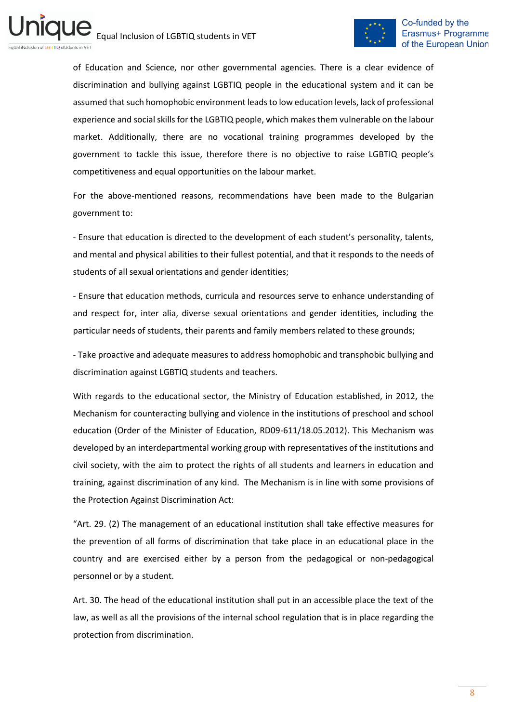

of Education and Science, nor other governmental agencies. There is a clear evidence of discrimination and bullying against LGBTIQ people in the educational system and it can be assumed that such homophobic environment leadsto low education levels, lack of professional experience and social skills for the LGBTIQ people, which makes them vulnerable on the labour market. Additionally, there are no vocational training programmes developed by the government to tackle this issue, therefore there is no objective to raise LGBTIQ people's competitiveness and equal opportunities on the labour market.

For the above-mentioned reasons, recommendations have been made to the Bulgarian government to:

- Ensure that education is directed to the development of each student's personality, talents, and mental and physical abilities to their fullest potential, and that it responds to the needs of students of all sexual orientations and gender identities;

- Ensure that education methods, curricula and resources serve to enhance understanding of and respect for, inter alia, diverse sexual orientations and gender identities, including the particular needs of students, their parents and family members related to these grounds;

- Take proactive and adequate measures to address homophobic and transphobic bullying and discrimination against LGBTIQ students and teachers.

With regards to the educational sector, the Ministry of Education established, in 2012, the Mechanism for counteracting bullying and violence in the institutions of preschool and school education (Order of the Minister of Education, RD09-611/18.05.2012). This Mechanism was developed by an interdepartmental working group with representatives of the institutions and civil society, with the aim to protect the rights of all students and learners in education and training, against discrimination of any kind. The Mechanism is in line with some provisions of the Protection Against Discrimination Act:

"Art. 29. (2) The management of an educational institution shall take effective measures for the prevention of all forms of discrimination that take place in an educational place in the country and are exercised either by a person from the pedagogical or non-pedagogical personnel or by a student.

Art. 30. The head of the educational institution shall put in an accessible place the text of the law, as well as all the provisions of the internal school regulation that is in place regarding the protection from discrimination.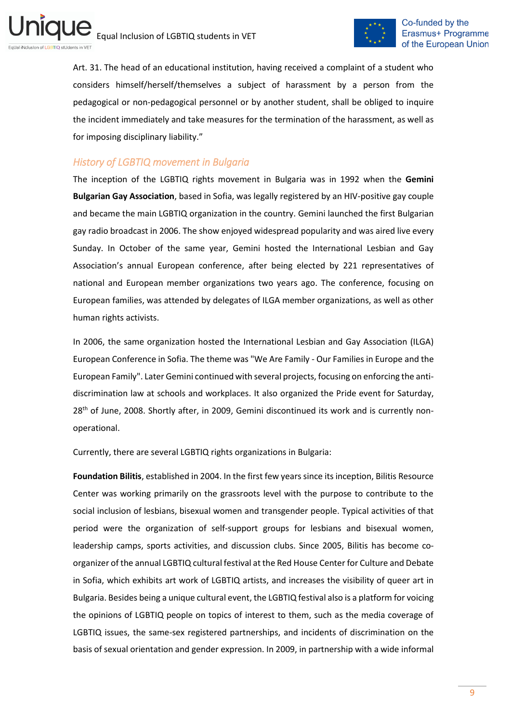

Art. 31. The head of an educational institution, having received a complaint of a student who considers himself/herself/themselves a subject of harassment by a person from the pedagogical or non-pedagogical personnel or by another student, shall be obliged to inquire the incident immediately and take measures for the termination of the harassment, as well as for imposing disciplinary liability."

## <span id="page-8-0"></span>*History of LGBTIQ movement in Bulgaria*

The inception of the LGBTIQ rights movement in Bulgaria was in 1992 when the **Gemini Bulgarian Gay Association**, based in Sofia, was legally registered by an HIV-positive gay couple and became the main LGBTIQ organization in the country. Gemini launched the first Bulgarian gay radio broadcast in 2006. The show enjoyed widespread popularity and was aired live every Sunday. In October of the same year, Gemini hosted the International Lesbian and Gay Association's annual European conference, after being elected by 221 representatives of national and European member organizations two years ago. The conference, focusing on European families, was attended by delegates of ILGA member organizations, as well as other human rights activists.

In 2006, the same organization hosted the International Lesbian and Gay Association (ILGA) European Conference in Sofia. The theme was "We Are Family - Our Families in Europe and the European Family". Later Gemini continued with several projects, focusing on enforcing the antidiscrimination law at schools and workplaces. It also organized the Pride event for Saturday, 28<sup>th</sup> of June, 2008. Shortly after, in 2009, Gemini discontinued its work and is currently nonoperational.

Currently, there are several LGBTIQ rights organizations in Bulgaria:

**Foundation Bilitis**, established in 2004. In the first few years since its inception, Bilitis Resource Center was working primarily on the grassroots level with the purpose to contribute to the social inclusion of lesbians, bisexual women and transgender people. Typical activities of that period were the organization of self-support groups for lesbians and bisexual women, leadership camps, sports activities, and discussion clubs. Since 2005, Bilitis has become coorganizer of the annual LGBTIQ cultural festival at the Red House Center for Culture and Debate in Sofia, which exhibits art work of LGBTIQ artists, and increases the visibility of queer art in Bulgaria. Besides being a unique cultural event, the LGBTIQ festival also is a platform for voicing the opinions of LGBTIQ people on topics of interest to them, such as the media coverage of LGBTIQ issues, the same-sex registered partnerships, and incidents of discrimination on the basis of sexual orientation and gender expression. In 2009, in partnership with a wide informal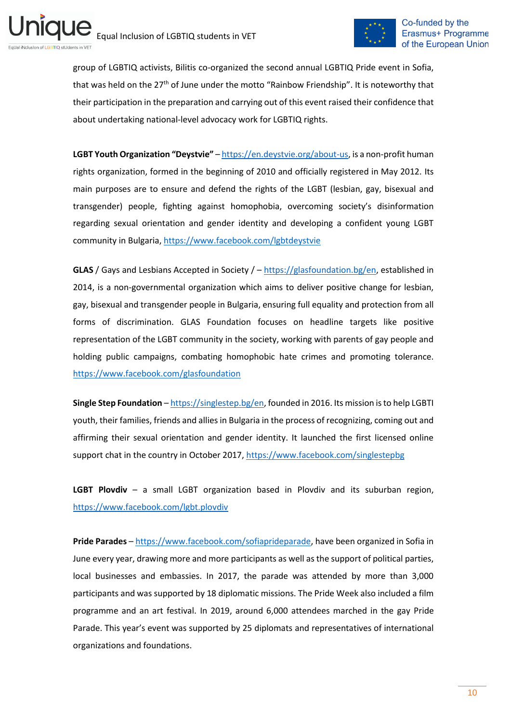

group of LGBTIQ activists, Bilitis co-organized the second annual LGBTIQ Pride event in Sofia, that was held on the  $27<sup>th</sup>$  of June under the motto "Rainbow Friendship". It is noteworthy that their participation in the preparation and carrying out of this event raised their confidence that about undertaking national-level advocacy work for LGBTIQ rights.

**LGBT Youth Organization "Deystvie"** – [https://en.deystvie.org/about-us,](https://en.deystvie.org/about-us) is a non-profit human rights organization, formed in the beginning of 2010 and officially registered in May 2012. Its main purposes are to ensure and defend the rights of the LGBT (lesbian, gay, bisexual and transgender) people, fighting against homophobia, overcoming society's disinformation regarding sexual orientation and gender identity and developing a confident young LGBT community in Bulgaria[, https://www.facebook.com/lgbtdeystvie](https://www.facebook.com/lgbtdeystvie)

**GLAS** / Gays and Lesbians Accepted in Society / – [https://glasfoundation.bg/en,](https://glasfoundation.bg/en) established in 2014, is a non-governmental organization which aims to deliver positive change for lesbian, gay, bisexual and transgender people in Bulgaria, ensuring full equality and protection from all forms of discrimination. GLAS Foundation focuses on headline targets like positive representation of the LGBT community in the society, working with parents of gay people and holding public campaigns, combating homophobic hate crimes and promoting tolerance. <https://www.facebook.com/glasfoundation>

**Single Step Foundation** – [https://singlestep.bg/en,](https://singlestep.bg/en) founded in 2016. Its mission is to help LGBTI youth, their families, friends and allies in Bulgaria in the process of recognizing, coming out and affirming their sexual orientation and gender identity. It launched the first licensed online support chat in the country in October 2017,<https://www.facebook.com/singlestepbg>

**LGBT Plovdiv** – a small LGBT organization based in Plovdiv and its suburban region, <https://www.facebook.com/lgbt.plovdiv>

**Pride Parades** – [https://www.facebook.com/sofiaprideparade,](https://www.facebook.com/sofiaprideparade) have been organized in Sofia in June every year, drawing more and more participants as well as the support of political parties, local businesses and embassies. In 2017, the parade was attended by more than 3,000 participants and was supported by 18 diplomatic missions. The Pride Week also included a film programme and an art festival. In 2019, around 6,000 attendees marched in the gay Pride Parade. This year's event was supported by 25 diplomats and representatives of international organizations and foundations.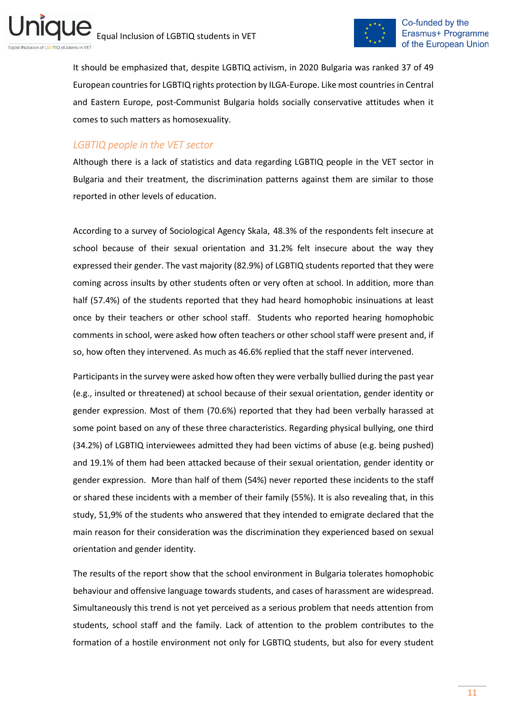

It should be emphasized that, despite LGBTIQ activism, in 2020 Bulgaria was ranked 37 of 49 European countries for LGBTIQ rights protection by ILGA-Europe. Like most countries in Central and Eastern Europe, post-Communist Bulgaria holds socially conservative attitudes when it comes to such matters as homosexuality.

#### <span id="page-10-0"></span>*LGBTIQ people in the VET sector*

Although there is a lack of statistics and data regarding LGBTIQ people in the VET sector in Bulgaria and their treatment, the discrimination patterns against them are similar to those reported in other levels of education.

According to a survey of Sociological Agency Skala, 48.3% of the respondents felt insecure at school because of their sexual orientation and 31.2% felt insecure about the way they expressed their gender. The vast majority (82.9%) of LGBTIQ students reported that they were coming across insults by other students often or very often at school. In addition, more than half (57.4%) of the students reported that they had heard homophobic insinuations at least once by their teachers or other school staff. Students who reported hearing homophobic comments in school, were asked how often teachers or other school staff were present and, if so, how often they intervened. As much as 46.6% replied that the staff never intervened.

Participants in the survey were asked how often they were verbally bullied during the past year (e.g., insulted or threatened) at school because of their sexual orientation, gender identity or gender expression. Most of them (70.6%) reported that they had been verbally harassed at some point based on any of these three characteristics. Regarding physical bullying, one third (34.2%) of LGBTIQ interviewees admitted they had been victims of abuse (e.g. being pushed) and 19.1% of them had been attacked because of their sexual orientation, gender identity or gender expression. More than half of them (54%) never reported these incidents to the staff or shared these incidents with a member of their family (55%). It is also revealing that, in this study, 51,9% of the students who answered that they intended to emigrate declared that the main reason for their consideration was the discrimination they experienced based on sexual orientation and gender identity.

The results of the report show that the school environment in Bulgaria tolerates homophobic behaviour and offensive language towards students, and cases of harassment are widespread. Simultaneously this trend is not yet perceived as a serious problem that needs attention from students, school staff and the family. Lack of attention to the problem contributes to the formation of a hostile environment not only for LGBTIQ students, but also for every student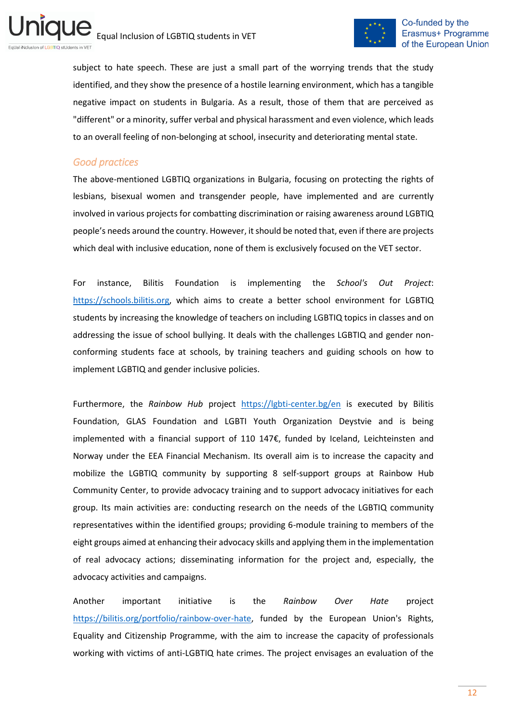

subject to hate speech. These are just a small part of the worrying trends that the study identified, and they show the presence of a hostile learning environment, which has a tangible negative impact on students in Bulgaria. As a result, those of them that are perceived as "different" or a minority, suffer verbal and physical harassment and even violence, which leads to an overall feeling of non-belonging at school, insecurity and deteriorating mental state.

#### <span id="page-11-0"></span>*Good practices*

The above-mentioned LGBTIQ organizations in Bulgaria, focusing on protecting the rights of lesbians, bisexual women and transgender people, have implemented and are currently involved in various projects for combatting discrimination or raising awareness around LGBTIQ people's needs around the country. However, it should be noted that, even if there are projects which deal with inclusive education, none of them is exclusively focused on the VET sector.

For instance, Bilitis Foundation is implementing the *School's Out Project*: [https://schools.bilitis.org,](https://schools.bilitis.org/) which aims to create a better school environment for LGBTIQ students by increasing the knowledge of teachers on including LGBTIQ topics in classes and on addressing the issue of school bullying. It deals with the challenges LGBTIQ and gender nonconforming students face at schools, by training teachers and guiding schools on how to implement LGBTIQ and gender inclusive policies.

Furthermore, the *Rainbow Hub* project <https://lgbti-center.bg/en> is executed by Bilitis Foundation, GLAS Foundation and LGBTI Youth Organization Deystvie and is being implemented with a financial support of 110 147€, funded by Iceland, Leichteinsten and Norway under the EEA Financial Mechanism. Its overall aim is to increase the capacity and mobilize the LGBTIQ community by supporting 8 self-support groups at Rainbow Hub Community Center, to provide advocacy training and to support advocacy initiatives for each group. Its main activities are: conducting research on the needs of the LGBTIQ community representatives within the identified groups; providing 6-module training to members of the eight groups aimed at enhancing their advocacy skills and applying them in the implementation of real advocacy actions; disseminating information for the project and, especially, the advocacy activities and campaigns.

Another important initiative is the *Rainbow Over Hate* project [https://bilitis.org/portfolio/rainbow-over-hate,](https://bilitis.org/portfolio/rainbow-over-hate) funded by the European Union's Rights, Equality and Citizenship Programme, with the aim to increase the capacity of professionals working with victims of anti-LGBTIQ hate crimes. The project envisages an evaluation of the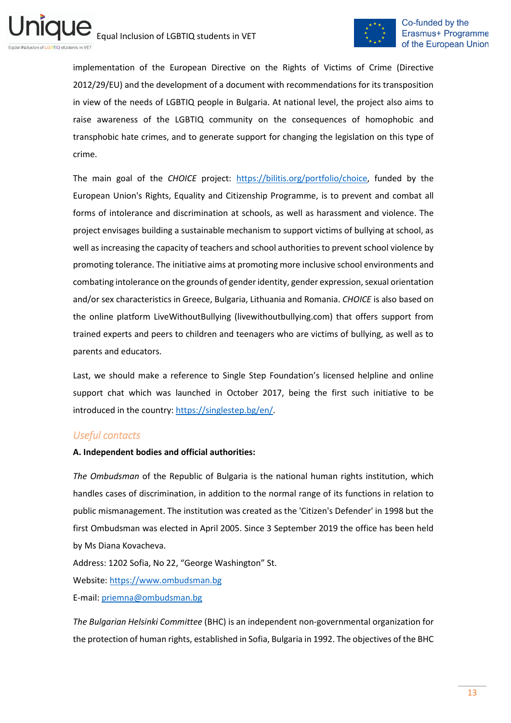

implementation of the European Directive on the Rights of Victims of Crime (Directive 2012/29/EU) and the development of a document with recommendations for its transposition in view of the needs of LGBTIQ people in Bulgaria. At national level, the project also aims to raise awareness of the LGBTIQ community on the consequences of homophobic and transphobic hate crimes, and to generate support for changing the legislation on this type of crime.

The main goal of the *CHOICE* project: [https://bilitis.org/portfolio/choice,](https://bilitis.org/portfolio/choice) funded by the European Union's Rights, Equality and Citizenship Programme, is to prevent and combat all forms of intolerance and discrimination at schools, as well as harassment and violence. The project envisages building a sustainable mechanism to support victims of bullying at school, as well as increasing the capacity of teachers and school authorities to prevent school violence by promoting tolerance. The initiative aims at promoting more inclusive school environments and combating intolerance on the grounds of gender identity, gender expression, sexual orientation and/or sex characteristics in Greece, Bulgaria, Lithuania and Romania. *CHOICE* is also based on the online platform LiveWithoutBullying (livewithoutbullying.com) that offers support from trained experts and peers to children and teenagers who are victims of bullying, as well as to parents and educators.

Last, we should make a reference to Single Step Foundation's licensed helpline and online support chat which was launched in October 2017, being the first such initiative to be introduced in the country: [https://singlestep.bg/en/.](https://singlestep.bg/en/)

## <span id="page-12-0"></span>*Useful contacts*

#### **A. Independent bodies and official authorities:**

*The Ombudsman* of the Republic of Bulgaria is the national human rights institution, which handles cases of discrimination, in addition to the normal range of its functions in relation to public mismanagement. The institution was created as the 'Citizen's Defender' in 1998 but the first Ombudsman was elected in April 2005. Since 3 September 2019 the office has been held by Ms Diana Kovacheva.

Address: 1202 Sofia, No 22, "George Washington" St. Website[: https://www.ombudsman.bg](https://www.ombudsman.bg/) E-mail[: priemna@ombudsman.bg](mailto:priemna@ombudsman.bg)

*The Bulgarian Helsinki Committee* (BHC) is an independent non-governmental organization for the protection of human rights, established in Sofia, Bulgaria in 1992. The objectives of the BHC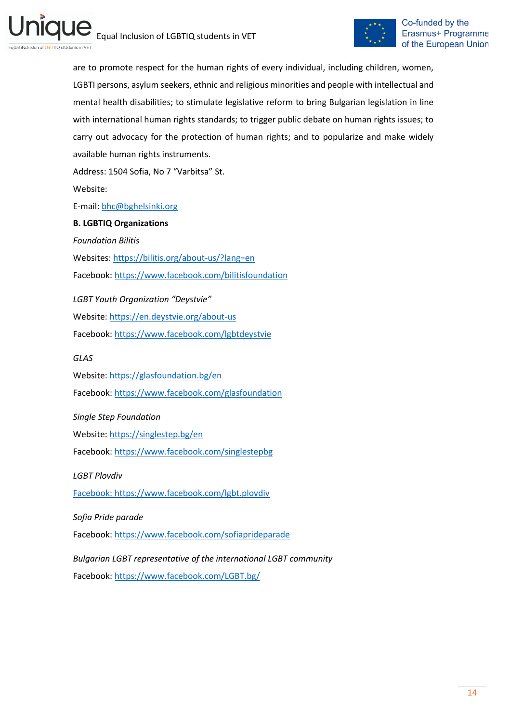

are to promote respect for the human rights of every individual, including children, women, LGBTI persons, asylum seekers, ethnic and religious minorities and people with intellectual and mental health disabilities; to stimulate legislative reform to bring Bulgarian legislation in line with international human rights standards; to trigger public debate on human rights issues; to carry out advocacy for the protection of human rights; and to popularize and make widely available human rights instruments. Address: 1504 Sofia, No 7 "Varbitsa" St.

Website:

E-mail[: bhc@bghelsinki.org](emailto:bhc@bghelsinki.org)

#### **B. LGBTIQ Organizations**

*Foundation Bilitis* 

Websites:<https://bilitis.org/about-us/?lang=en> Facebook:<https://www.facebook.com/bilitisfoundation>

*LGBT Youth Organization "Deystvie"* 

Website[: https://en.deystvie.org/about-us](https://en.deystvie.org/about-us)

Facebook:<https://www.facebook.com/lgbtdeystvie>

*GLAS*

Website[: https://glasfoundation.bg/en](https://glasfoundation.bg/en) Facebook:<https://www.facebook.com/glasfoundation>

*Single Step Foundation*

Website[: https://singlestep.bg/en](https://singlestep.bg/en)

Facebook:<https://www.facebook.com/singlestepbg>

*LGBT Plovdiv*

[Facebook: https://www.facebook.com/lgbt.plovdiv](facebook:%20https://www.facebook.com/lgbt.plovdiv)

*Sofia Pride parade*

Facebook:<https://www.facebook.com/sofiaprideparade>

*Bulgarian LGBT representative of the international LGBT community* Facebook:<https://www.facebook.com/LGBT.bg/>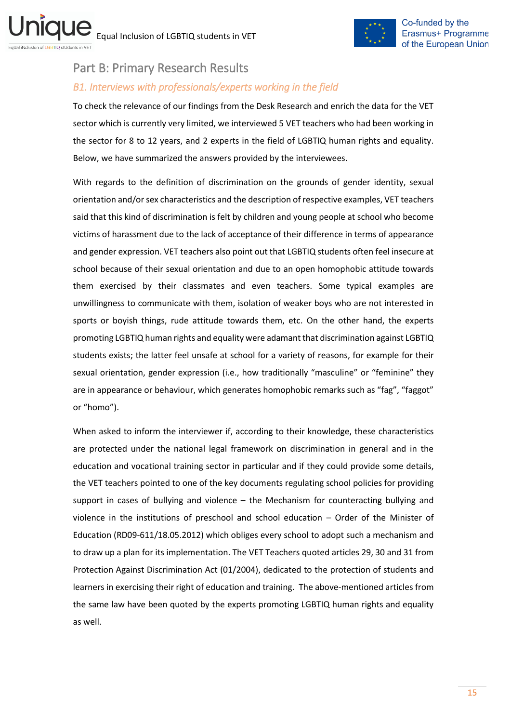

## <span id="page-14-0"></span>Part B: Primary Research Results

## <span id="page-14-1"></span>*B1. Interviews with professionals/experts working in the field*

To check the relevance of our findings from the Desk Research and enrich the data for the VET sector which is currently very limited, we interviewed 5 VET teachers who had been working in the sector for 8 to 12 years, and 2 experts in the field of LGBTIQ human rights and equality. Below, we have summarized the answers provided by the interviewees.

With regards to the definition of discrimination on the grounds of gender identity, sexual orientation and/or sex characteristics and the description of respective examples, VET teachers said that this kind of discrimination is felt by children and young people at school who become victims of harassment due to the lack of acceptance of their difference in terms of appearance and gender expression. VET teachers also point out that LGBTIQ students often feel insecure at school because of their sexual orientation and due to an open homophobic attitude towards them exercised by their classmates and even teachers. Some typical examples are unwillingness to communicate with them, isolation of weaker boys who are not interested in sports or boyish things, rude attitude towards them, etc. On the other hand, the experts promoting LGBTIQ human rights and equality were adamant that discrimination against LGBTIQ students exists; the latter feel unsafe at school for a variety of reasons, for example for their sexual orientation, gender expression (i.e., how traditionally "masculine" or "feminine" they are in appearance or behaviour, which generates homophobic remarks such as "fag", "faggot" or "homo").

When asked to inform the interviewer if, according to their knowledge, these characteristics are protected under the national legal framework on discrimination in general and in the education and vocational training sector in particular and if they could provide some details, the VET teachers pointed to one of the key documents regulating school policies for providing support in cases of bullying and violence – the Mechanism for counteracting bullying and violence in the institutions of preschool and school education – Order of the Minister of Education (RD09-611/18.05.2012) which obliges every school to adopt such a mechanism and to draw up a plan for its implementation. The VET Teachers quoted articles 29, 30 and 31 from Protection Against Discrimination Act (01/2004), dedicated to the protection of students and learners in exercising their right of education and training. The above-mentioned articles from the same law have been quoted by the experts promoting LGBTIQ human rights and equality as well.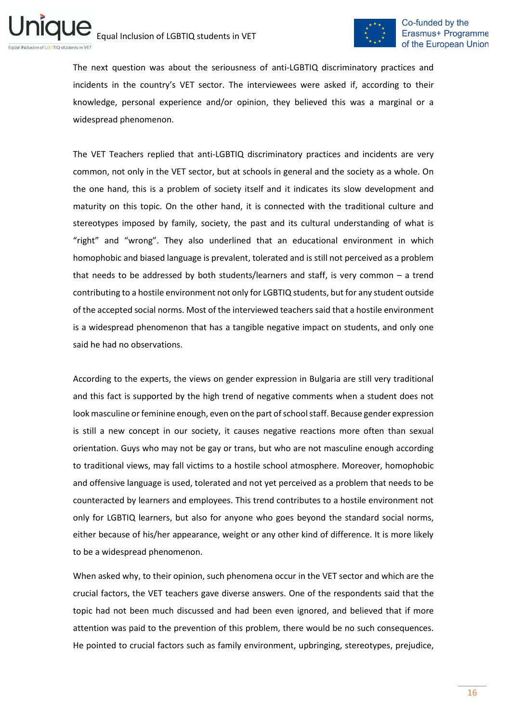

The next question was about the seriousness of anti-LGBTIQ discriminatory practices and incidents in the country's VET sector. The interviewees were asked if, according to their knowledge, personal experience and/or opinion, they believed this was a marginal or a widespread phenomenon.

The VET Teachers replied that anti-LGBTIQ discriminatory practices and incidents are very common, not only in the VET sector, but at schools in general and the society as a whole. On the one hand, this is a problem of society itself and it indicates its slow development and maturity on this topic. On the other hand, it is connected with the traditional culture and stereotypes imposed by family, society, the past and its cultural understanding of what is "right" and "wrong". They also underlined that an educational environment in which homophobic and biased language is prevalent, tolerated and is still not perceived as a problem that needs to be addressed by both students/learners and staff, is very common – a trend contributing to a hostile environment not only for LGBTIQ students, but for any student outside of the accepted social norms. Most of the interviewed teachers said that a hostile environment is a widespread phenomenon that has a tangible negative impact on students, and only one said he had no observations.

According to the experts, the views on gender expression in Bulgaria are still very traditional and this fact is supported by the high trend of negative comments when a student does not look masculine or feminine enough, even on the part of school staff. Because gender expression is still a new concept in our society, it causes negative reactions more often than sexual orientation. Guys who may not be gay or trans, but who are not masculine enough according to traditional views, may fall victims to a hostile school atmosphere. Moreover, homophobic and offensive language is used, tolerated and not yet perceived as a problem that needs to be counteracted by learners and employees. This trend contributes to a hostile environment not only for LGBTIQ learners, but also for anyone who goes beyond the standard social norms, either because of his/her appearance, weight or any other kind of difference. It is more likely to be a widespread phenomenon.

When asked why, to their opinion, such phenomena occur in the VET sector and which are the crucial factors, the VET teachers gave diverse answers. One of the respondents said that the topic had not been much discussed and had been even ignored, and believed that if more attention was paid to the prevention of this problem, there would be no such consequences. He pointed to crucial factors such as family environment, upbringing, stereotypes, prejudice,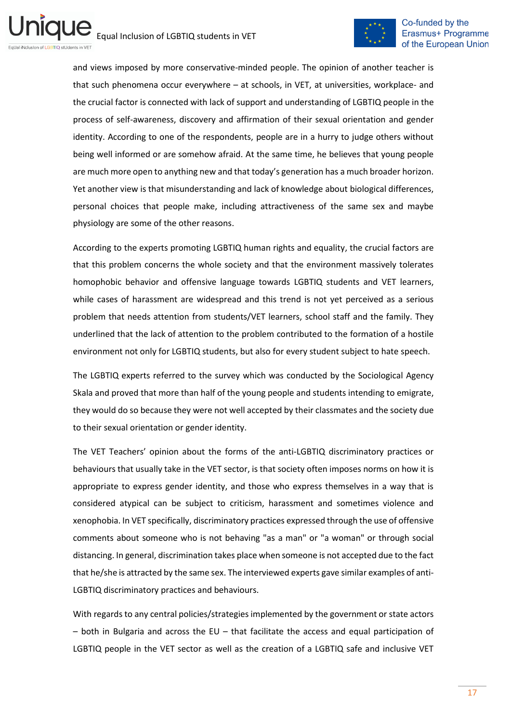

and views imposed by more conservative-minded people. The opinion of another teacher is that such phenomena occur everywhere – at schools, in VET, at universities, workplace- and the crucial factor is connected with lack of support and understanding of LGBTIQ people in the process of self-awareness, discovery and affirmation of their sexual orientation and gender identity. According to one of the respondents, people are in a hurry to judge others without being well informed or are somehow afraid. At the same time, he believes that young people are much more open to anything new and that today's generation has a much broader horizon. Yet another view is that misunderstanding and lack of knowledge about biological differences, personal choices that people make, including attractiveness of the same sex and maybe physiology are some of the other reasons.

According to the experts promoting LGBTIQ human rights and equality, the crucial factors are that this problem concerns the whole society and that the environment massively tolerates homophobic behavior and offensive language towards LGBTIQ students and VET learners, while cases of harassment are widespread and this trend is not yet perceived as a serious problem that needs attention from students/VET learners, school staff and the family. They underlined that the lack of attention to the problem contributed to the formation of a hostile environment not only for LGBTIQ students, but also for every student subject to hate speech.

The LGBTIQ experts referred to the survey which was conducted by the Sociological Agency Skala and proved that more than half of the young people and students intending to emigrate, they would do so because they were not well accepted by their classmates and the society due to their sexual orientation or gender identity.

The VET Teachers' opinion about the forms of the anti-LGBTIQ discriminatory practices or behaviours that usually take in the VET sector, is that society often imposes norms on how it is appropriate to express gender identity, and those who express themselves in a way that is considered atypical can be subject to criticism, harassment and sometimes violence and xenophobia. In VET specifically, discriminatory practices expressed through the use of offensive comments about someone who is not behaving "as a man" or "a woman" or through social distancing. In general, discrimination takes place when someone is not accepted due to the fact that he/she is attracted by the same sex. The interviewed experts gave similar examples of anti-LGBTIQ discriminatory practices and behaviours.

With regards to any central policies/strategies implemented by the government or state actors  $-$  both in Bulgaria and across the EU  $-$  that facilitate the access and equal participation of LGBTIQ people in the VET sector as well as the creation of a LGBTIQ safe and inclusive VET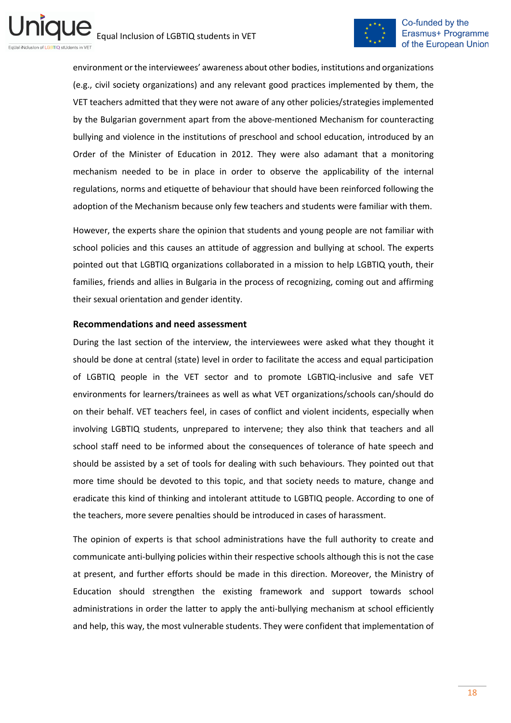

environment or the interviewees' awareness about other bodies, institutions and organizations (e.g., civil society organizations) and any relevant good practices implemented by them, the VET teachers admitted that they were not aware of any other policies/strategies implemented by the Bulgarian government apart from the above-mentioned Mechanism for counteracting bullying and violence in the institutions of preschool and school education, introduced by an Order of the Minister of Education in 2012. They were also adamant that a monitoring mechanism needed to be in place in order to observe the applicability of the internal regulations, norms and etiquette of behaviour that should have been reinforced following the adoption of the Mechanism because only few teachers and students were familiar with them.

However, the experts share the opinion that students and young people are not familiar with school policies and this causes an attitude of aggression and bullying at school. The experts pointed out that LGBTIQ organizations collaborated in a mission to help LGBTIQ youth, their families, friends and allies in Bulgaria in the process of recognizing, coming out and affirming their sexual orientation and gender identity.

#### **Recommendations and need assessment**

During the last section of the interview, the interviewees were asked what they thought it should be done at central (state) level in order to facilitate the access and equal participation of LGBTIQ people in the VET sector and to promote LGBTIQ-inclusive and safe VET environments for learners/trainees as well as what VET organizations/schools can/should do on their behalf. VET teachers feel, in cases of conflict and violent incidents, especially when involving LGBTIQ students, unprepared to intervene; they also think that teachers and all school staff need to be informed about the consequences of tolerance of hate speech and should be assisted by a set of tools for dealing with such behaviours. They pointed out that more time should be devoted to this topic, and that society needs to mature, change and eradicate this kind of thinking and intolerant attitude to LGBTIQ people. According to one of the teachers, more severe penalties should be introduced in cases of harassment.

The opinion of experts is that school administrations have the full authority to create and communicate anti-bullying policies within their respective schools although this is not the case at present, and further efforts should be made in this direction. Moreover, the Ministry of Education should strengthen the existing framework and support towards school administrations in order the latter to apply the anti-bullying mechanism at school efficiently and help, this way, the most vulnerable students. They were confident that implementation of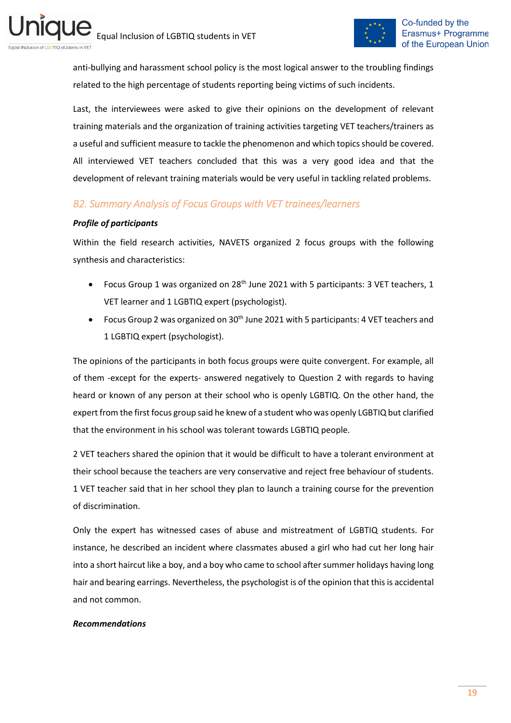

anti-bullying and harassment school policy is the most logical answer to the troubling findings related to the high percentage of students reporting being victims of such incidents.

Last, the interviewees were asked to give their opinions on the development of relevant training materials and the organization of training activities targeting VET teachers/trainers as a useful and sufficient measure to tackle the phenomenon and which topics should be covered. All interviewed VET teachers concluded that this was a very good idea and that the development of relevant training materials would be very useful in tackling related problems.

## <span id="page-18-0"></span>*B2. Summary Analysis of Focus Groups with VET trainees/learners*

#### *Profile of participants*

Within the field research activities, NAVETS organized 2 focus groups with the following synthesis and characteristics:

- Focus Group 1 was organized on 28<sup>th</sup> June 2021 with 5 participants: 3 VET teachers, 1 VET learner and 1 LGBTIQ expert (psychologist).
- Focus Group 2 was organized on  $30<sup>th</sup>$  June 2021 with 5 participants: 4 VET teachers and 1 LGBTIQ expert (psychologist).

The opinions of the participants in both focus groups were quite convergent. For example, all of them -except for the experts- answered negatively to Question 2 with regards to having heard or known of any person at their school who is openly LGBTIQ. On the other hand, the expert from the first focus group said he knew of a student who was openly LGBTIQ but clarified that the environment in his school was tolerant towards LGBTIQ people.

2 VET teachers shared the opinion that it would be difficult to have a tolerant environment at their school because the teachers are very conservative and reject free behaviour of students. 1 VET teacher said that in her school they plan to launch a training course for the prevention of discrimination.

Only the expert has witnessed cases of abuse and mistreatment of LGBTIQ students. For instance, he described an incident where classmates abused a girl who had cut her long hair into a short haircut like a boy, and a boy who came to school after summer holidays having long hair and bearing earrings. Nevertheless, the psychologist is of the opinion that this is accidental and not common.

#### *Recommendations*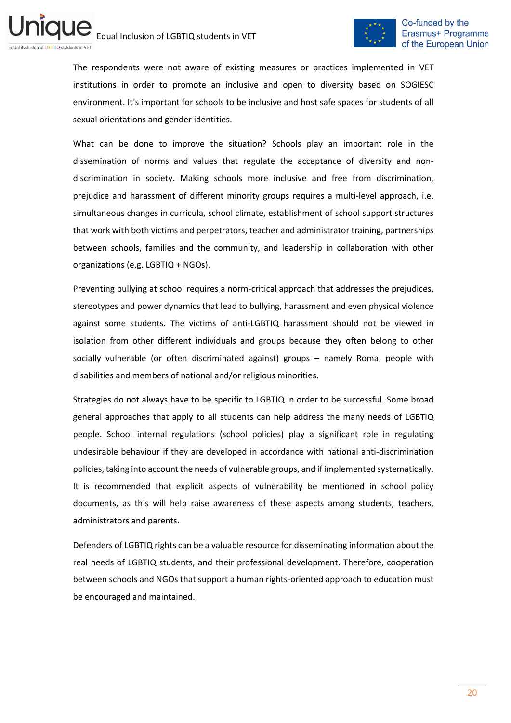

The respondents were not aware of existing measures or practices implemented in VET institutions in order to promote an inclusive and open to diversity based on SOGIESC environment. It's important for schools to be inclusive and host safe spaces for students of all sexual orientations and gender identities.

What can be done to improve the situation? Schools play an important role in the dissemination of norms and values that regulate the acceptance of diversity and nondiscrimination in society. Making schools more inclusive and free from discrimination, prejudice and harassment of different minority groups requires a multi-level approach, i.e. simultaneous changes in curricula, school climate, establishment of school support structures that work with both victims and perpetrators, teacher and administrator training, partnerships between schools, families and the community, and leadership in collaboration with other organizations (e.g. LGBTIQ + NGOs).

Preventing bullying at school requires a norm-critical approach that addresses the prejudices, stereotypes and power dynamics that lead to bullying, harassment and even physical violence against some students. The victims of anti-LGBTIQ harassment should not be viewed in isolation from other different individuals and groups because they often belong to other socially vulnerable (or often discriminated against) groups – namely Roma, people with disabilities and members of national and/or religious minorities.

Strategies do not always have to be specific to LGBTIQ in order to be successful. Some broad general approaches that apply to all students can help address the many needs of LGBTIQ people. School internal regulations (school policies) play a significant role in regulating undesirable behaviour if they are developed in accordance with national anti-discrimination policies, taking into account the needs of vulnerable groups, and if implemented systematically. It is recommended that explicit aspects of vulnerability be mentioned in school policy documents, as this will help raise awareness of these aspects among students, teachers, administrators and parents.

Defenders of LGBTIQ rights can be a valuable resource for disseminating information about the real needs of LGBTIQ students, and their professional development. Therefore, cooperation between schools and NGOs that support a human rights-oriented approach to education must be encouraged and maintained.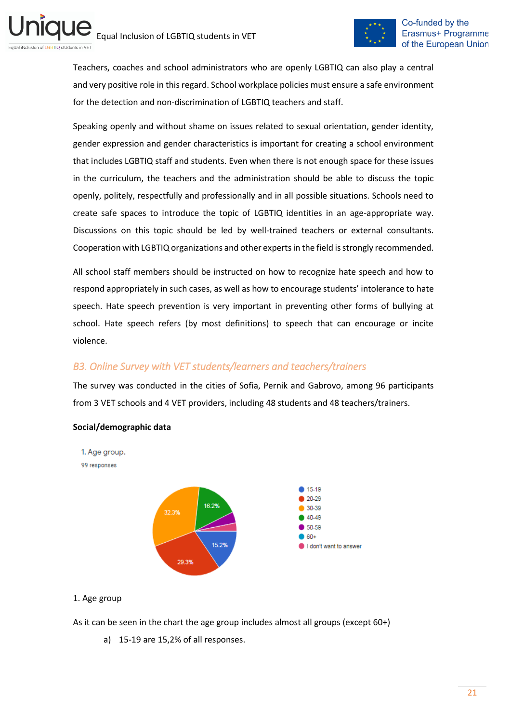

Teachers, coaches and school administrators who are openly LGBTIQ can also play a central and very positive role in this regard. School workplace policies must ensure a safe environment for the detection and non-discrimination of LGBTIQ teachers and staff.

Speaking openly and without shame on issues related to sexual orientation, gender identity, gender expression and gender characteristics is important for creating a school environment that includes LGBTIQ staff and students. Even when there is not enough space for these issues in the curriculum, the teachers and the administration should be able to discuss the topic openly, politely, respectfully and professionally and in all possible situations. Schools need to create safe spaces to introduce the topic of LGBTIQ identities in an age-appropriate way. Discussions on this topic should be led by well-trained teachers or external consultants. Cooperation with LGBTIQ organizations and other experts in the field is strongly recommended.

All school staff members should be instructed on how to recognize hate speech and how to respond appropriately in such cases, as well as how to encourage students' intolerance to hate speech. Hate speech prevention is very important in preventing other forms of bullying at school. Hate speech refers (by most definitions) to speech that can encourage or incite violence.

## <span id="page-20-0"></span>*B3. Online Survey with VET students/learners and teachers/trainers*

The survey was conducted in the cities of Sofia, Pernik and Gabrovo, among 96 participants from 3 VET schools and 4 VET providers, including 48 students and 48 teachers/trainers.



#### **Social/demographic data**

#### 1. Age group

As it can be seen in the chart the age group includes almost all groups (except 60+)

a) 15-19 are 15,2% of all responses.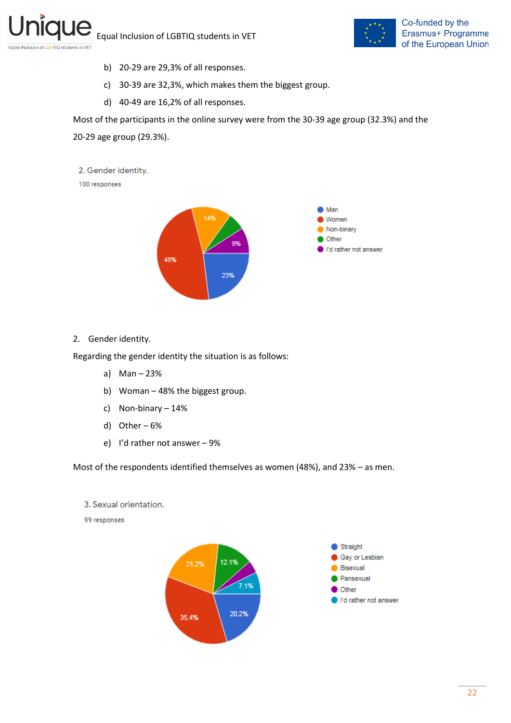

- b) 20-29 are 29,3% of all responses.
- c) 30-39 are 32,3%, which makes them the biggest group.
- d) 40-49 are 16,2% of all responses.

Most of the participants in the online survey were from the 30-39 age group (32.3%) and the 20-29 age group (29.3%).



100 responses



2. Gender identity.

Regarding the gender identity the situation is as follows:

- a) Man 23%
- b) Woman 48% the biggest group.
- c) Non-binary 14%
- d) Other 6%
- e) I'd rather not answer 9%

Most of the respondents identified themselves as women (48%), and 23% – as men.

3. Sexual orientation.

99 responses

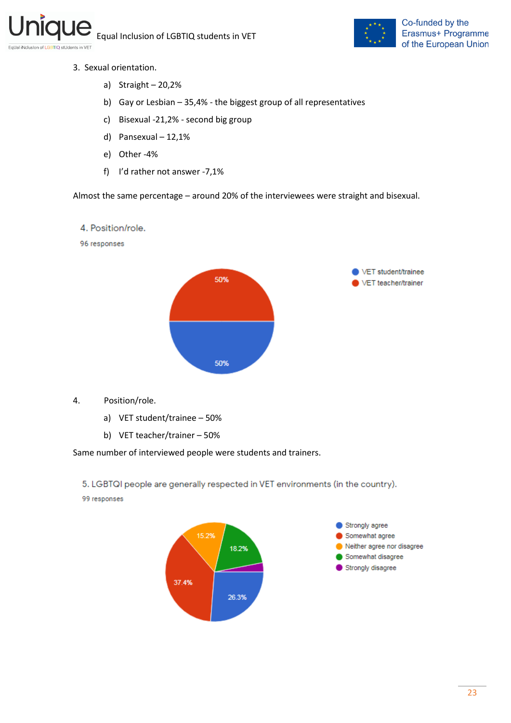

- 3. Sexual orientation.
	- a) Straight 20,2%
	- b) Gay or Lesbian 35,4% the biggest group of all representatives
	- c) Bisexual -21,2% second big group
	- d) Pansexual 12,1%
	- e) Other -4%
	- f) I'd rather not answer -7,1%

Almost the same percentage – around 20% of the interviewees were straight and bisexual.

#### 4. Position/role.

96 responses



- 4. Position/role.
	- a) VET student/trainee 50%
	- b) VET teacher/trainer 50%

Same number of interviewed people were students and trainers.

5. LGBTQI people are generally respected in VET environments (in the country).

99 responses

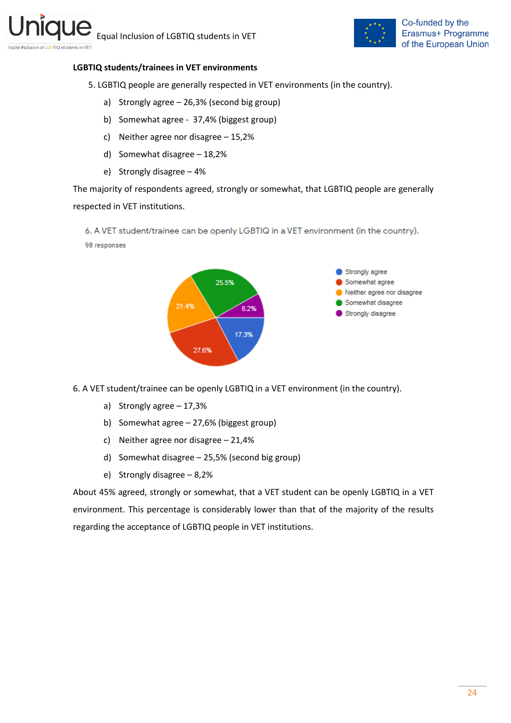

#### **LGBTIQ students/trainees in VET environments**

5. LGBTIQ people are generally respected in VET environments (in the country).

- a) Strongly agree 26,3% (second big group)
- b) Somewhat agree 37,4% (biggest group)
- c) Neither agree nor disagree 15,2%
- d) Somewhat disagree 18,2%
- e) Strongly disagree 4%

The majority of respondents agreed, strongly or somewhat, that LGBTIQ people are generally respected in VET institutions.

6. A VET student/trainee can be openly LGBTIQ in a VET environment (in the country). 98 responses



6. A VET student/trainee can be openly LGBTIQ in a VET environment (in the country).

- a) Strongly agree 17,3%
- b) Somewhat agree 27,6% (biggest group)
- c) Neither agree nor disagree 21,4%
- d) Somewhat disagree 25,5% (second big group)
- e) Strongly disagree 8,2%

About 45% agreed, strongly or somewhat, that a VET student can be openly LGBTIQ in a VET environment. This percentage is considerably lower than that of the majority of the results regarding the acceptance of LGBTIQ people in VET institutions.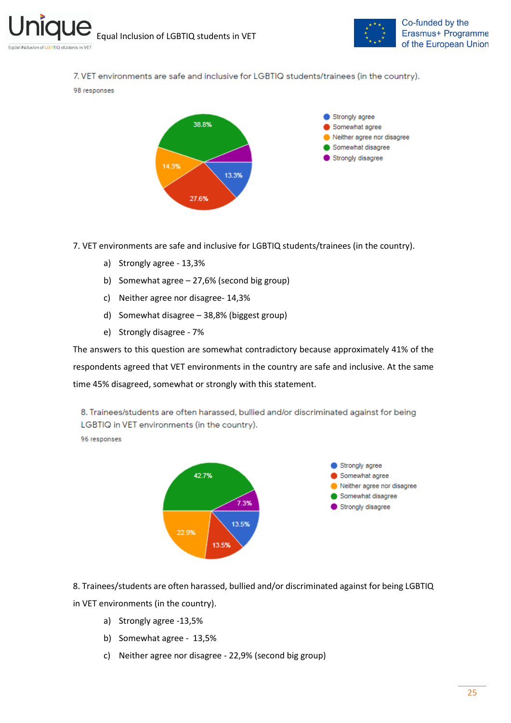

7. VET environments are safe and inclusive for LGBTIQ students/trainees (in the country).

#### 98 responses



7. VET environments are safe and inclusive for LGBTIQ students/trainees (in the country).

- a) Strongly agree 13,3%
- b) Somewhat agree 27,6% (second big group)
- c) Neither agree nor disagree- 14,3%
- d) Somewhat disagree 38,8% (biggest group)
- e) Strongly disagree 7%

The answers to this question are somewhat contradictory because approximately 41% of the respondents agreed that VET environments in the country are safe and inclusive. At the same time 45% disagreed, somewhat or strongly with this statement.

8. Trainees/students are often harassed, bullied and/or discriminated against for being LGBTIQ in VET environments (in the country).

96 responses



8. Trainees/students are often harassed, bullied and/or discriminated against for being LGBTIQ in VET environments (in the country).

- a) Strongly agree -13,5%
- b) Somewhat agree 13,5%
- c) Neither agree nor disagree 22,9% (second big group)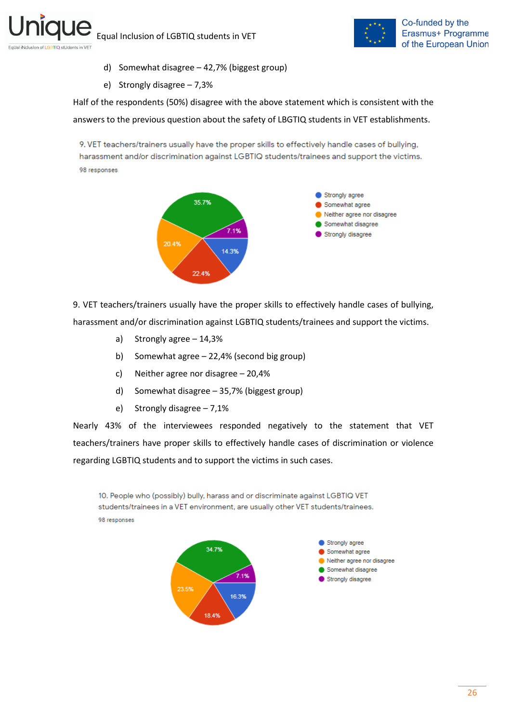

- d) Somewhat disagree 42,7% (biggest group)
- e) Strongly disagree 7,3%

Half of the respondents (50%) disagree with the above statement which is consistent with the answers to the previous question about the safety of LBGTIQ students in VET establishments.

9. VET teachers/trainers usually have the proper skills to effectively handle cases of bullying, harassment and/or discrimination against LGBTIQ students/trainees and support the victims. 98 responses



9. VET teachers/trainers usually have the proper skills to effectively handle cases of bullying, harassment and/or discrimination against LGBTIQ students/trainees and support the victims.

- a) Strongly agree 14,3%
- b) Somewhat agree 22,4% (second big group)
- c) Neither agree nor disagree 20,4%
- d) Somewhat disagree 35,7% (biggest group)
- e) Strongly disagree 7,1%

Nearly 43% of the interviewees responded negatively to the statement that VET teachers/trainers have proper skills to effectively handle cases of discrimination or violence regarding LGBTIQ students and to support the victims in such cases.

10. People who (possibly) bully, harass and or discriminate against LGBTIQ VET students/trainees in a VET environment, are usually other VET students/trainees. 98 responses

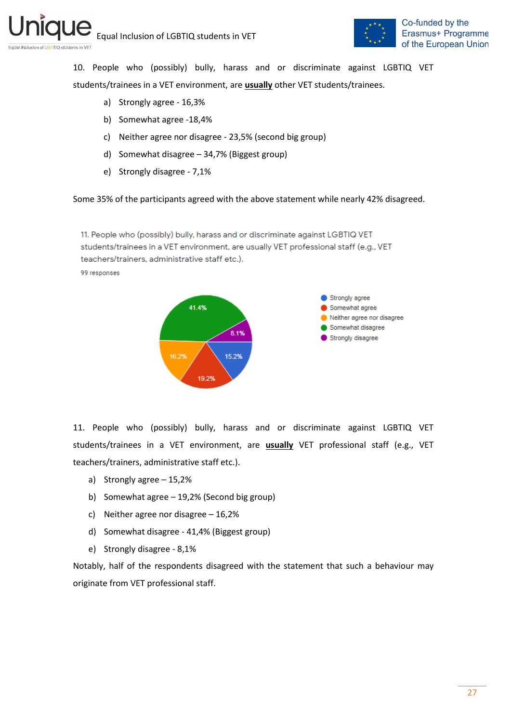

10. People who (possibly) bully, harass and or discriminate against LGBTIQ VET students/trainees in a VET environment, are **usually** other VET students/trainees.

- a) Strongly agree 16,3%
- b) Somewhat agree -18,4%
- c) Neither agree nor disagree 23,5% (second big group)
- d) Somewhat disagree 34,7% (Biggest group)
- e) Strongly disagree 7,1%

Some 35% of the participants agreed with the above statement while nearly 42% disagreed.

11. People who (possibly) bully, harass and or discriminate against LGBTIQ VET students/trainees in a VET environment, are usually VET professional staff (e.g., VET teachers/trainers, administrative staff etc.). 99 responses



11. People who (possibly) bully, harass and or discriminate against LGBTIQ VET students/trainees in a VET environment, are **usually** VET professional staff (e.g., VET teachers/trainers, administrative staff etc.).

- a) Strongly agree 15,2%
- b) Somewhat agree 19,2% (Second big group)
- c) Neither agree nor disagree 16,2%
- d) Somewhat disagree 41,4% (Biggest group)
- e) Strongly disagree 8,1%

Notably, half of the respondents disagreed with the statement that such a behaviour may originate from VET professional staff.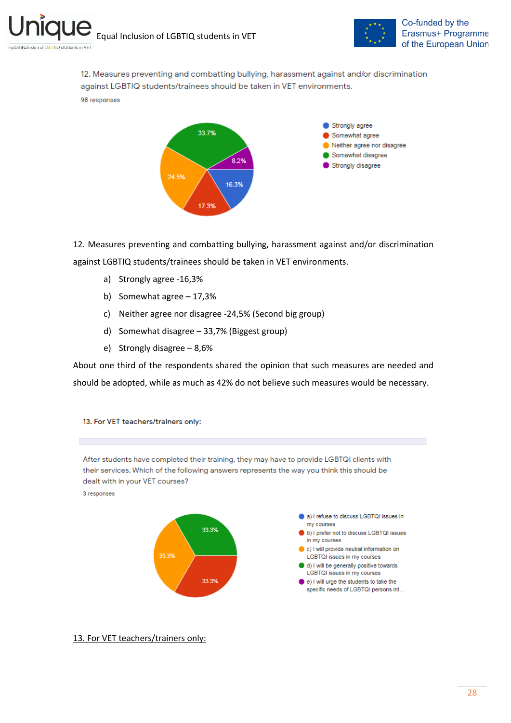

Co-funded by the Erasmus+ Programme of the European Union

12. Measures preventing and combatting bullying, harassment against and/or discrimination against LGBTIQ students/trainees should be taken in VET environments. 98 responses



12. Measures preventing and combatting bullying, harassment against and/or discrimination against LGBTIQ students/trainees should be taken in VET environments.

- a) Strongly agree -16,3%
- b) Somewhat agree 17,3%
- c) Neither agree nor disagree -24,5% (Second big group)
- d) Somewhat disagree 33,7% (Biggest group)
- e) Strongly disagree 8,6%

About one third of the respondents shared the opinion that such measures are needed and should be adopted, while as much as 42% do not believe such measures would be necessary.

13. For VET teachers/trainers only:

After students have completed their training, they may have to provide LGBTQI clients with their services. Which of the following answers represents the way you think this should be dealt with in your VET courses? 3 responses



13. For VET teachers/trainers only: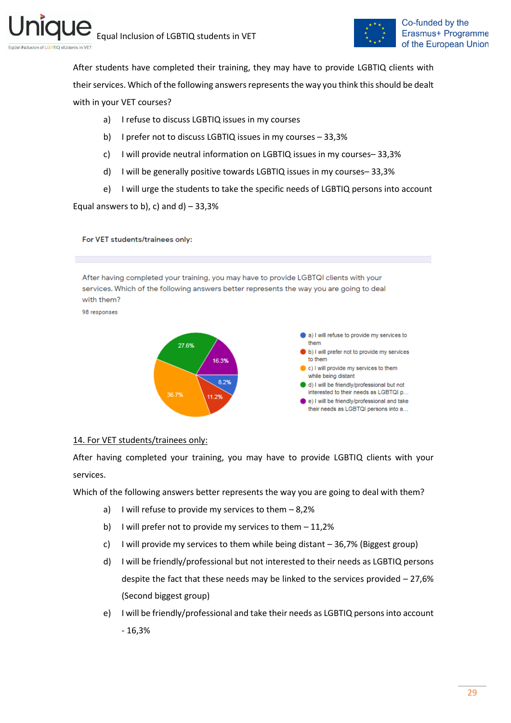

After students have completed their training, they may have to provide LGBTIQ clients with their services. Which of the following answers represents the way you think this should be dealt with in your VET courses?

- a) I refuse to discuss LGBTIQ issues in my courses
- b) I prefer not to discuss LGBTIQ issues in my courses 33,3%
- c) I will provide neutral information on LGBTIQ issues in my courses– 33,3%
- d) I will be generally positive towards LGBTIQ issues in my courses– 33,3%
- e) I will urge the students to take the specific needs of LGBTIQ persons into account

Equal answers to b), c) and  $d$ ) – 33,3%

For VET students/trainees only:

After having completed your training, you may have to provide LGBTQI clients with your services. Which of the following answers better represents the way you are going to deal with them?

98 responses



#### 14. For VET students/trainees only:

After having completed your training, you may have to provide LGBTIQ clients with your services.

Which of the following answers better represents the way you are going to deal with them?

- a) I will refuse to provide my services to them  $-8.2%$
- b) I will prefer not to provide my services to them 11,2%
- c) I will provide my services to them while being distant 36,7% (Biggest group)
- d) I will be friendly/professional but not interested to their needs as LGBTIQ persons despite the fact that these needs may be linked to the services provided – 27,6% (Second biggest group)
- e) I will be friendly/professional and take their needs as LGBTIQ persons into account - 16,3%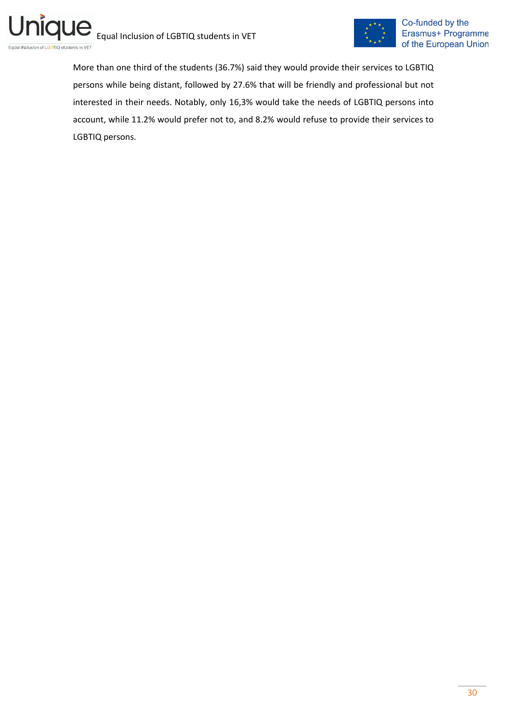

More than one third of the students (36.7%) said they would provide their services to LGBTIQ persons while being distant, followed by 27.6% that will be friendly and professional but not interested in their needs. Notably, only 16,3% would take the needs of LGBTIQ persons into account, while 11.2% would prefer not to, and 8.2% would refuse to provide their services to LGBTIQ persons.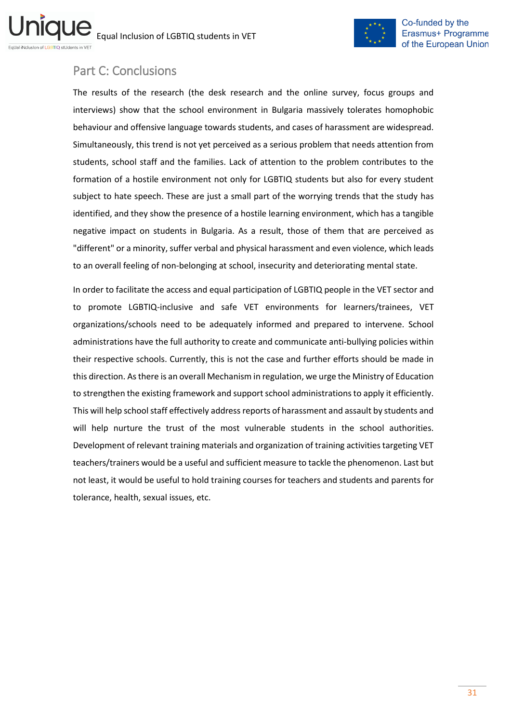

## <span id="page-30-0"></span>Part C: Conclusions

ni

The results of the research (the desk research and the online survey, focus groups and interviews) show that the school environment in Bulgaria massively tolerates homophobic behaviour and offensive language towards students, and cases of harassment are widespread. Simultaneously, this trend is not yet perceived as a serious problem that needs attention from students, school staff and the families. Lack of attention to the problem contributes to the formation of a hostile environment not only for LGBTIQ students but also for every student subject to hate speech. These are just a small part of the worrying trends that the study has identified, and they show the presence of a hostile learning environment, which has a tangible negative impact on students in Bulgaria. As a result, those of them that are perceived as "different" or a minority, suffer verbal and physical harassment and even violence, which leads to an overall feeling of non-belonging at school, insecurity and deteriorating mental state.

In order to facilitate the access and equal participation of LGBTIQ people in the VET sector and to promote LGBTIQ-inclusive and safe VET environments for learners/trainees, VET organizations/schools need to be adequately informed and prepared to intervene. School administrations have the full authority to create and communicate anti-bullying policies within their respective schools. Currently, this is not the case and further efforts should be made in this direction. As there is an overall Mechanism in regulation, we urge the Ministry of Education to strengthen the existing framework and support school administrations to apply it efficiently. This will help school staff effectively address reports of harassment and assault by students and will help nurture the trust of the most vulnerable students in the school authorities. Development of relevant training materials and organization of training activities targeting VET teachers/trainers would be a useful and sufficient measure to tackle the phenomenon. Last but not least, it would be useful to hold training courses for teachers and students and parents for tolerance, health, sexual issues, etc.